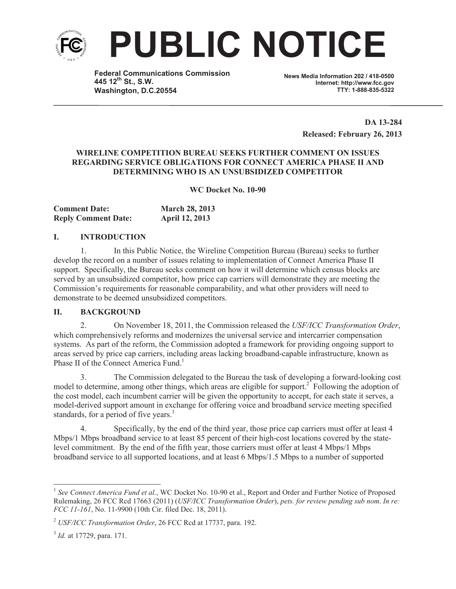

**PUBLIC NOTICE**

**Federal Communications Commission 445 12th St., S.W. Washington, D.C.20554**

**News Media Information 202 / 418-0500 Internet: http://www.fcc.gov TTY: 1-888-835-5322**

> **DA 13-284 Released: February 26, 2013**

# **WIRELINE COMPETITION BUREAU SEEKS FURTHER COMMENT ON ISSUES REGARDING SERVICE OBLIGATIONS FOR CONNECT AMERICA PHASE II AND DETERMINING WHO IS AN UNSUBSIDIZED COMPETITOR**

**WC Docket No. 10-90**

| <b>Comment Date:</b>       | <b>March 28, 2013</b> |
|----------------------------|-----------------------|
| <b>Reply Comment Date:</b> | <b>April 12, 2013</b> |

# **I. INTRODUCTION**

1. In this Public Notice, the Wireline Competition Bureau (Bureau) seeks to further develop the record on a number of issues relating to implementation of Connect America Phase II support. Specifically, the Bureau seeks comment on how it will determine which census blocks are served by an unsubsidized competitor, how price cap carriers will demonstrate they are meeting the Commission's requirements for reasonable comparability, and what other providers will need to demonstrate to be deemed unsubsidized competitors.

#### **II. BACKGROUND**

2. On November 18, 2011, the Commission released the *USF/ICC Transformation Order*, which comprehensively reforms and modernizes the universal service and intercarrier compensation systems. As part of the reform, the Commission adopted a framework for providing ongoing support to areas served by price cap carriers, including areas lacking broadband-capable infrastructure, known as Phase II of the Connect America Fund.<sup>1</sup>

3. The Commission delegated to the Bureau the task of developing a forward-looking cost model to determine, among other things, which areas are eligible for support.<sup>2</sup> Following the adoption of the cost model, each incumbent carrier will be given the opportunity to accept, for each state it serves, a model-derived support amount in exchange for offering voice and broadband service meeting specified standards, for a period of five years.<sup>3</sup>

4. Specifically, by the end of the third year, those price cap carriers must offer at least 4 Mbps/1 Mbps broadband service to at least 85 percent of their high-cost locations covered by the statelevel commitment. By the end of the fifth year, those carriers must offer at least 4 Mbps/1 Mbps broadband service to all supported locations, and at least 6 Mbps/1.5 Mbps to a number of supported

<sup>&</sup>lt;sup>1</sup> See Connect America Fund et al., WC Docket No. 10-90 et al., Report and Order and Further Notice of Proposed Rulemaking, 26 FCC Rcd 17663 (2011) (*USF/ICC Transformation Order*), *pets. for review pending sub nom*. *In re: FCC 11-161*, No. 11-9900 (10th Cir. filed Dec. 18, 2011).

<sup>2</sup> *USF/ICC Transformation Order*, 26 FCC Rcd at 17737, para. 192.

<sup>3</sup> *Id.* at 17729, para. 171.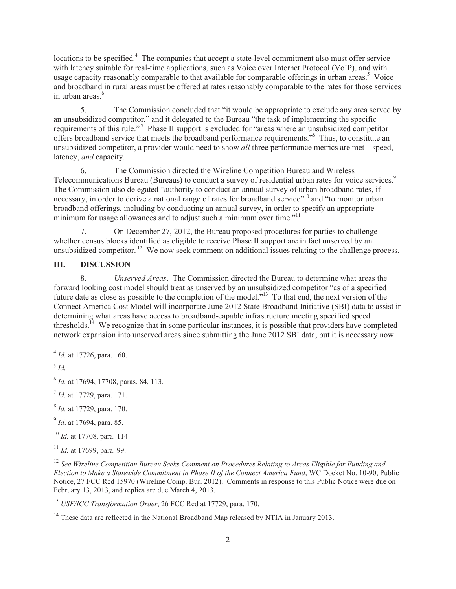locations to be specified.<sup>4</sup> The companies that accept a state-level commitment also must offer service with latency suitable for real-time applications, such as Voice over Internet Protocol (VoIP), and with usage capacity reasonably comparable to that available for comparable offerings in urban areas.<sup>5</sup> Voice and broadband in rural areas must be offered at rates reasonably comparable to the rates for those services in urban areas $<sup>6</sup>$ </sup>

5. The Commission concluded that "it would be appropriate to exclude any area served by an unsubsidized competitor," and it delegated to the Bureau "the task of implementing the specific requirements of this rule."<sup>7</sup> Phase II support is excluded for "areas where an unsubsidized competitor offers broadband service that meets the broadband performance requirements."<sup>8</sup> Thus, to constitute an unsubsidized competitor, a provider would need to show *all* three performance metrics are met – speed, latency, *and* capacity.

6. The Commission directed the Wireline Competition Bureau and Wireless Telecommunications Bureau (Bureaus) to conduct a survey of residential urban rates for voice services.<sup>9</sup> The Commission also delegated "authority to conduct an annual survey of urban broadband rates, if necessary, in order to derive a national range of rates for broadband service"<sup>10</sup> and "to monitor urban broadband offerings, including by conducting an annual survey, in order to specify an appropriate minimum for usage allowances and to adjust such a minimum over time."<sup>11</sup>

7. On December 27, 2012, the Bureau proposed procedures for parties to challenge whether census blocks identified as eligible to receive Phase II support are in fact unserved by an unsubsidized competitor. <sup>12</sup> We now seek comment on additional issues relating to the challenge process.

# **III. DISCUSSION**

8. *Unserved Areas*. The Commission directed the Bureau to determine what areas the forward looking cost model should treat as unserved by an unsubsidized competitor "as of a specified future date as close as possible to the completion of the model."<sup>13</sup> To that end, the next version of the Connect America Cost Model will incorporate June 2012 State Broadband Initiative (SBI) data to assist in determining what areas have access to broadband-capable infrastructure meeting specified speed thresholds.<sup> $14$ </sup> We recognize that in some particular instances, it is possible that providers have completed network expansion into unserved areas since submitting the June 2012 SBI data, but it is necessary now

5 *Id.*

- 9 *Id*. at 17694, para. 85.
- <sup>10</sup> *Id.* at 17708, para. 114
- <sup>11</sup> *Id.* at 17699, para. 99.

<sup>13</sup> *USF/ICC Transformation Order*, 26 FCC Rcd at 17729, para. 170.

<sup>4</sup> *Id.* at 17726, para. 160.

<sup>6</sup> *Id.* at 17694, 17708, paras. 84, 113.

<sup>7</sup> *Id.* at 17729, para. 171.

<sup>8</sup> *Id.* at 17729, para. 170.

<sup>12</sup> *See Wireline Competition Bureau Seeks Comment on Procedures Relating to Areas Eligible for Funding and Election to Make a Statewide Commitment in Phase II of the Connect America Fund*, WC Docket No. 10-90, Public Notice, 27 FCC Rcd 15970 (Wireline Comp. Bur. 2012). Comments in response to this Public Notice were due on February 13, 2013, and replies are due March 4, 2013.

<sup>&</sup>lt;sup>14</sup> These data are reflected in the National Broadband Map released by NTIA in January 2013.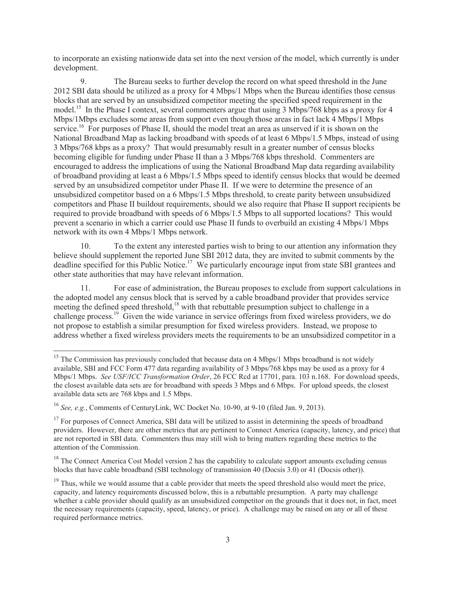to incorporate an existing nationwide data set into the next version of the model, which currently is under development.

9. The Bureau seeks to further develop the record on what speed threshold in the June 2012 SBI data should be utilized as a proxy for 4 Mbps/1 Mbps when the Bureau identifies those census blocks that are served by an unsubsidized competitor meeting the specified speed requirement in the model.<sup>15</sup> In the Phase I context, several commenters argue that using 3 Mbps/768 kbps as a proxy for 4 Mbps/1Mbps excludes some areas from support even though those areas in fact lack 4 Mbps/1 Mbps service.<sup>16</sup> For purposes of Phase II, should the model treat an area as unserved if it is shown on the National Broadband Map as lacking broadband with speeds of at least 6 Mbps/1.5 Mbps, instead of using 3 Mbps/768 kbps as a proxy? That would presumably result in a greater number of census blocks becoming eligible for funding under Phase II than a 3 Mbps/768 kbps threshold. Commenters are encouraged to address the implications of using the National Broadband Map data regarding availability of broadband providing at least a 6 Mbps/1.5 Mbps speed to identify census blocks that would be deemed served by an unsubsidized competitor under Phase II. If we were to determine the presence of an unsubsidized competitor based on a 6 Mbps/1.5 Mbps threshold, to create parity between unsubsidized competitors and Phase II buildout requirements, should we also require that Phase II support recipients be required to provide broadband with speeds of 6 Mbps/1.5 Mbps to all supported locations? This would prevent a scenario in which a carrier could use Phase II funds to overbuild an existing 4 Mbps/1 Mbps network with its own 4 Mbps/1 Mbps network.

10. To the extent any interested parties wish to bring to our attention any information they believe should supplement the reported June SBI 2012 data, they are invited to submit comments by the deadline specified for this Public Notice.<sup>17</sup> We particularly encourage input from state SBI grantees and other state authorities that may have relevant information.

11. For ease of administration, the Bureau proposes to exclude from support calculations in the adopted model any census block that is served by a cable broadband provider that provides service meeting the defined speed threshold,<sup>18</sup> with that rebuttable presumption subject to challenge in a challenge process.<sup>19</sup> Given the wide variance in service offerings from fixed wireless providers, we do not propose to establish a similar presumption for fixed wireless providers. Instead, we propose to address whether a fixed wireless providers meets the requirements to be an unsubsidized competitor in a

<sup>&</sup>lt;sup>15</sup> The Commission has previously concluded that because data on 4 Mbps/1 Mbps broadband is not widely available, SBI and FCC Form 477 data regarding availability of 3 Mbps/768 kbps may be used as a proxy for 4 Mbps/1 Mbps. *See USF/ICC Transformation Order*, 26 FCC Rcd at 17701, para. 103 n.168. For download speeds, the closest available data sets are for broadband with speeds 3 Mbps and 6 Mbps. For upload speeds, the closest available data sets are 768 kbps and 1.5 Mbps.

<sup>16</sup> *See, e.g.*, Comments of CenturyLink, WC Docket No. 10-90, at 9-10 (filed Jan. 9, 2013).

<sup>&</sup>lt;sup>17</sup> For purposes of Connect America, SBI data will be utilized to assist in determining the speeds of broadband providers. However, there are other metrics that are pertinent to Connect America (capacity, latency, and price) that are not reported in SBI data. Commenters thus may still wish to bring matters regarding these metrics to the attention of the Commission.

 $18$  The Connect America Cost Model version 2 has the capability to calculate support amounts excluding census blocks that have cable broadband (SBI technology of transmission 40 (Docsis 3.0) or 41 (Docsis other)).

<sup>&</sup>lt;sup>19</sup> Thus, while we would assume that a cable provider that meets the speed threshold also would meet the price, capacity, and latency requirements discussed below, this is a rebuttable presumption. A party may challenge whether a cable provider should qualify as an unsubsidized competitor on the grounds that it does not, in fact, meet the necessary requirements (capacity, speed, latency, or price). A challenge may be raised on any or all of these required performance metrics.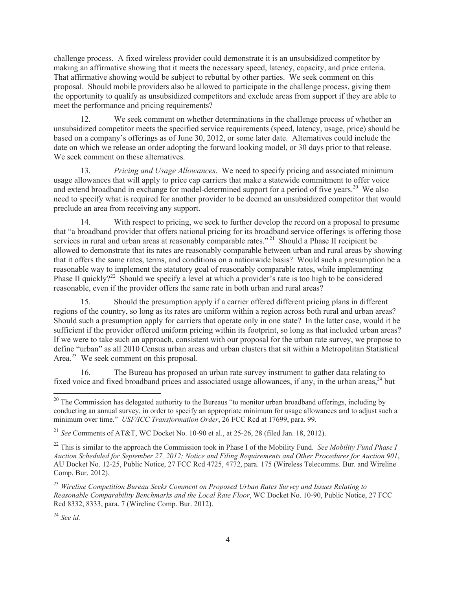challenge process. A fixed wireless provider could demonstrate it is an unsubsidized competitor by making an affirmative showing that it meets the necessary speed, latency, capacity, and price criteria. That affirmative showing would be subject to rebuttal by other parties. We seek comment on this proposal. Should mobile providers also be allowed to participate in the challenge process, giving them the opportunity to qualify as unsubsidized competitors and exclude areas from support if they are able to meet the performance and pricing requirements?

12. We seek comment on whether determinations in the challenge process of whether an unsubsidized competitor meets the specified service requirements (speed, latency, usage, price) should be based on a company's offerings as of June 30, 2012, or some later date. Alternatives could include the date on which we release an order adopting the forward looking model, or 30 days prior to that release. We seek comment on these alternatives.

13. *Pricing and Usage Allowances*. We need to specify pricing and associated minimum usage allowances that will apply to price cap carriers that make a statewide commitment to offer voice and extend broadband in exchange for model-determined support for a period of five years.<sup>20</sup> We also need to specify what is required for another provider to be deemed an unsubsidized competitor that would preclude an area from receiving any support.

14. With respect to pricing, we seek to further develop the record on a proposal to presume that "a broadband provider that offers national pricing for its broadband service offerings is offering those services in rural and urban areas at reasonably comparable rates."<sup>21</sup> Should a Phase II recipient be allowed to demonstrate that its rates are reasonably comparable between urban and rural areas by showing that it offers the same rates, terms, and conditions on a nationwide basis? Would such a presumption be a reasonable way to implement the statutory goal of reasonably comparable rates, while implementing Phase II quickly?<sup>22</sup> Should we specify a level at which a provider's rate is too high to be considered reasonable, even if the provider offers the same rate in both urban and rural areas?

15. Should the presumption apply if a carrier offered different pricing plans in different regions of the country, so long as its rates are uniform within a region across both rural and urban areas? Should such a presumption apply for carriers that operate only in one state? In the latter case, would it be sufficient if the provider offered uniform pricing within its footprint, so long as that included urban areas? If we were to take such an approach, consistent with our proposal for the urban rate survey, we propose to define "urban" as all 2010 Census urban areas and urban clusters that sit within a Metropolitan Statistical Area.<sup>23</sup> We seek comment on this proposal.

16. The Bureau has proposed an urban rate survey instrument to gather data relating to fixed voice and fixed broadband prices and associated usage allowances, if any, in the urban areas,  $^{24}$  but

<sup>24</sup> *See id.*

<sup>&</sup>lt;sup>20</sup> The Commission has delegated authority to the Bureaus "to monitor urban broadband offerings, including by conducting an annual survey, in order to specify an appropriate minimum for usage allowances and to adjust such a minimum over time." *USF/ICC Transformation Order*, 26 FCC Rcd at 17699, para. 99.

<sup>21</sup> *See* Comments of AT&T, WC Docket No. 10-90 et al., at 25-26, 28 (filed Jan. 18, 2012).

<sup>22</sup> This is similar to the approach the Commission took in Phase I of the Mobility Fund. *See Mobility Fund Phase I Auction Scheduled for September 27, 2012; Notice and Filing Requirements and Other Procedures for Auction 901*, AU Docket No. 12-25, Public Notice, 27 FCC Rcd 4725, 4772, para. 175 (Wireless Telecomms. Bur. and Wireline Comp. Bur. 2012).

<sup>23</sup> *Wireline Competition Bureau Seeks Comment on Proposed Urban Rates Survey and Issues Relating to Reasonable Comparability Benchmarks and the Local Rate Floor*, WC Docket No. 10-90, Public Notice, 27 FCC Rcd 8332, 8333, para. 7 (Wireline Comp. Bur. 2012).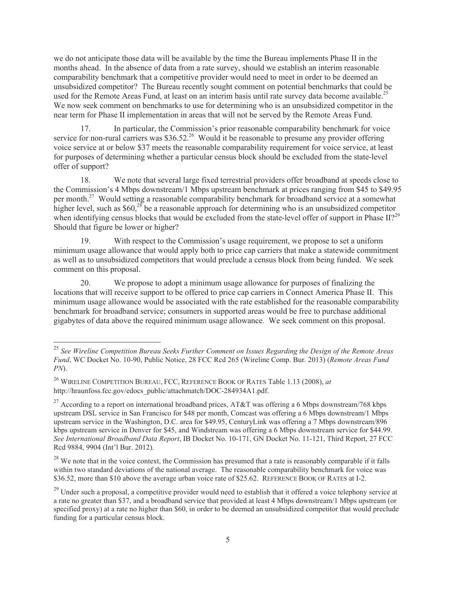we do not anticipate those data will be available by the time the Bureau implements Phase II in the months ahead. In the absence of data from a rate survey, should we establish an interim reasonable comparability benchmark that a competitive provider would need to meet in order to be deemed an unsubsidized competitor? The Bureau recently sought comment on potential benchmarks that could be used for the Remote Areas Fund, at least on an interim basis until rate survey data become available.<sup>25</sup> We now seek comment on benchmarks to use for determining who is an unsubsidized competitor in the near term for Phase II implementation in areas that will not be served by the Remote Areas Fund.

17. In particular, the Commission's prior reasonable comparability benchmark for voice service for non-rural carriers was \$36.52.<sup>26</sup> Would it be reasonable to presume any provider offering voice service at or below \$37 meets the reasonable comparability requirement for voice service, at least for purposes of determining whether a particular census block should be excluded from the state-level offer of support?

18. We note that several large fixed terrestrial providers offer broadband at speeds close to the Commission's 4 Mbps downstream/1 Mbps upstream benchmark at prices ranging from \$45 to \$49.95 per month.<sup>27</sup> Would setting a reasonable comparability benchmark for broadband service at a somewhat higher level, such as  $$60$ <sup>28</sup> be a reasonable approach for determining who is an unsubsidized competitor when identifying census blocks that would be excluded from the state-level offer of support in Phase II?<sup>29</sup> Should that figure be lower or higher?

19. With respect to the Commission's usage requirement, we propose to set a uniform minimum usage allowance that would apply both to price cap carriers that make a statewide commitment as well as to unsubsidized competitors that would preclude a census block from being funded. We seek comment on this proposal.

20. We propose to adopt a minimum usage allowance for purposes of finalizing the locations that will receive support to be offered to price cap carriers in Connect America Phase II. This minimum usage allowance would be associated with the rate established for the reasonable comparability benchmark for broadband service; consumers in supported areas would be free to purchase additional gigabytes of data above the required minimum usage allowance. We seek comment on this proposal.

<sup>25</sup> *See Wireline Competition Bureau Seeks Further Comment on Issues Regarding the Design of the Remote Areas Fund*, WC Docket No. 10-90, Public Notice, 28 FCC Rcd 265 (Wireline Comp. Bur. 2013) (*Remote Areas Fund PN*).

<sup>26</sup> WIRELINE COMPETITION BUREAU, FCC, REFERENCE BOOK OF RATES Table 1.13 (2008), *at*  http://hraunfoss.fcc.gov/edocs\_public/attachmatch/DOC-284934A1.pdf.

<sup>&</sup>lt;sup>27</sup> According to a report on international broadband prices, AT&T was offering a 6 Mbps downstream/768 kbps upstream DSL service in San Francisco for \$48 per month, Comcast was offering a 6 Mbps downstream/1 Mbps upstream service in the Washington, D.C. area for \$49.95, CenturyLink was offering a 7 Mbps downstream/896 kbps upstream service in Denver for \$45, and Windstream was offering a 6 Mbps downstream service for \$44.99. *See International Broadband Data Report*, IB Docket No. 10-171, GN Docket No. 11-121, Third Report, 27 FCC Rcd 9884, 9904 (Int'l Bur. 2012).

 $^{28}$  We note that in the voice context, the Commission has presumed that a rate is reasonably comparable if it falls within two standard deviations of the national average. The reasonable comparability benchmark for voice was \$36.52, more than \$10 above the average urban voice rate of \$25.62. REFERENCE BOOK OF RATES at I-2.

 $^{29}$  Under such a proposal, a competitive provider would need to establish that it offered a voice telephony service at a rate no greater than \$37, and a broadband service that provided at least 4 Mbps downstream/1 Mbps upstream (or specified proxy) at a rate no higher than \$60, in order to be deemed an unsubsidized competitor that would preclude funding for a particular census block.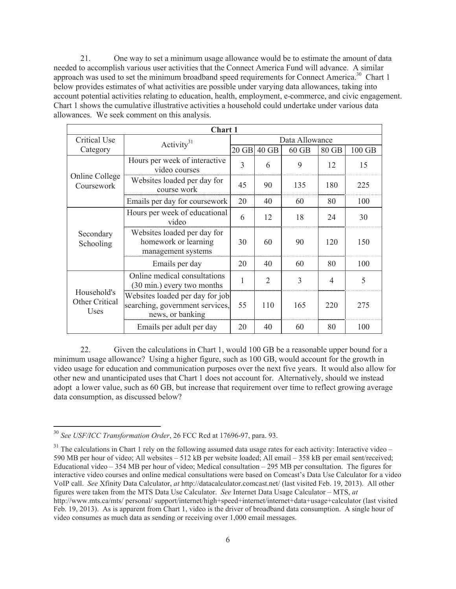21. One way to set a minimum usage allowance would be to estimate the amount of data needed to accomplish various user activities that the Connect America Fund will advance. A similar approach was used to set the minimum broadband speed requirements for Connect America.<sup>30</sup> Chart 1 below provides estimates of what activities are possible under varying data allowances, taking into account potential activities relating to education, health, employment, e-commerce, and civic engagement. Chart 1 shows the cumulative illustrative activities a household could undertake under various data allowances. We seek comment on this analysis.

| Chart 1                                      |                                                                                        |                |                |         |       |        |  |  |
|----------------------------------------------|----------------------------------------------------------------------------------------|----------------|----------------|---------|-------|--------|--|--|
| Critical Use                                 | Activity $31$                                                                          | Data Allowance |                |         |       |        |  |  |
| Category                                     |                                                                                        |                | 20 GB 40 GB    | $60$ GB | 80 GB | 100 GB |  |  |
| Online College<br>Coursework                 | Hours per week of interactive<br>video courses                                         | 3              | 6              | 9       | 12    | 15     |  |  |
|                                              | Websites loaded per day for<br>course work                                             | 45             | 90             | 135     | 180   | 225    |  |  |
|                                              | Emails per day for coursework                                                          | 20             | 40             | 60      | 80    | 100    |  |  |
| Secondary<br>Schooling                       | Hours per week of educational<br>video                                                 | 6              | 12             | 18      | 24    | 30     |  |  |
|                                              | Websites loaded per day for<br>homework or learning<br>management systems              | 30             | 60             | 90      | 120   | 150    |  |  |
|                                              | Emails per day                                                                         | 20             | 40             | 60      | 80    | 100    |  |  |
| Household's<br><b>Other Critical</b><br>Uses | Online medical consultations<br>$(30 \text{ min.})$ every two months                   | $\mathbf{1}$   | $\overline{2}$ | 3       | 4     | 5      |  |  |
|                                              | Websites loaded per day for job<br>searching, government services,<br>news, or banking | 55             | 110            | 165     | 220   | 275    |  |  |
|                                              | Emails per adult per day                                                               | 20             | 40             | 60      | 80    | 100    |  |  |

22. Given the calculations in Chart 1, would 100 GB be a reasonable upper bound for a minimum usage allowance? Using a higher figure, such as 100 GB, would account for the growth in video usage for education and communication purposes over the next five years. It would also allow for other new and unanticipated uses that Chart 1 does not account for. Alternatively, should we instead adopt a lower value, such as 60 GB, but increase that requirement over time to reflect growing average data consumption, as discussed below?

<sup>30</sup> *See USF/ICC Transformation Order*, 26 FCC Rcd at 17696-97, para. 93.

 $31$  The calculations in Chart 1 rely on the following assumed data usage rates for each activity: Interactive video – 590 MB per hour of video; All websites – 512 kB per website loaded; All email – 358 kB per email sent/received; Educational video – 354 MB per hour of video; Medical consultation – 295 MB per consultation. The figures for interactive video courses and online medical consultations were based on Comcast's Data Use Calculator for a video VoIP call. *See* Xfinity Data Calculator, *at* http://datacalculator.comcast.net/ (last visited Feb. 19, 2013). All other figures were taken from the MTS Data Use Calculator. *See* Internet Data Usage Calculator – MTS, *at*  http://www.mts.ca/mts/ personal/ support/internet/high+speed+internet/internet+data+usage+calculator (last visited Feb. 19, 2013). As is apparent from Chart 1, video is the driver of broadband data consumption. A single hour of video consumes as much data as sending or receiving over 1,000 email messages.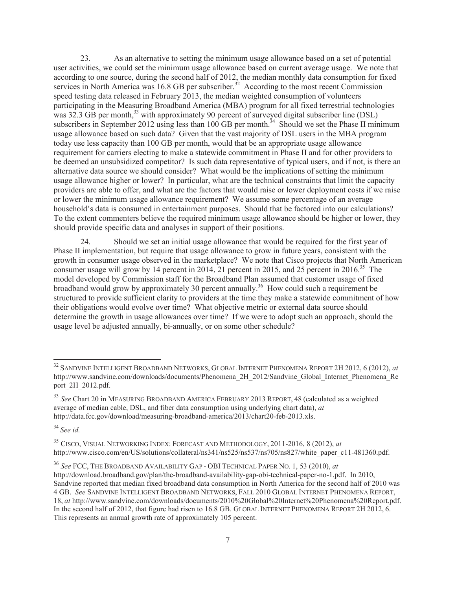23. As an alternative to setting the minimum usage allowance based on a set of potential user activities, we could set the minimum usage allowance based on current average usage. We note that according to one source, during the second half of 2012, the median monthly data consumption for fixed services in North America was 16.8 GB per subscriber.<sup>32</sup> According to the most recent Commission speed testing data released in February 2013, the median weighted consumption of volunteers participating in the Measuring Broadband America (MBA) program for all fixed terrestrial technologies was  $32.3$  GB per month,<sup>33</sup> with approximately 90 percent of surveyed digital subscriber line (DSL) subscribers in September 2012 using less than 100 GB per month.<sup>34</sup> Should we set the Phase II minimum usage allowance based on such data? Given that the vast majority of DSL users in the MBA program today use less capacity than 100 GB per month, would that be an appropriate usage allowance requirement for carriers electing to make a statewide commitment in Phase II and for other providers to be deemed an unsubsidized competitor? Is such data representative of typical users, and if not, is there an alternative data source we should consider? What would be the implications of setting the minimum usage allowance higher or lower? In particular, what are the technical constraints that limit the capacity providers are able to offer, and what are the factors that would raise or lower deployment costs if we raise or lower the minimum usage allowance requirement? We assume some percentage of an average household's data is consumed in entertainment purposes. Should that be factored into our calculations? To the extent commenters believe the required minimum usage allowance should be higher or lower, they should provide specific data and analyses in support of their positions.

24. Should we set an initial usage allowance that would be required for the first year of Phase II implementation, but require that usage allowance to grow in future years, consistent with the growth in consumer usage observed in the marketplace? We note that Cisco projects that North American consumer usage will grow by 14 percent in 2014, 21 percent in 2015, and 25 percent in 2016.<sup>35</sup> The model developed by Commission staff for the Broadband Plan assumed that customer usage of fixed broadband would grow by approximately 30 percent annually.<sup>36</sup> How could such a requirement be structured to provide sufficient clarity to providers at the time they make a statewide commitment of how their obligations would evolve over time? What objective metric or external data source should determine the growth in usage allowances over time? If we were to adopt such an approach, should the usage level be adjusted annually, bi-annually, or on some other schedule?

<sup>34</sup> *See id.*

<sup>32</sup> SANDVINE INTELLIGENT BROADBAND NETWORKS, GLOBAL INTERNET PHENOMENA REPORT 2H 2012, 6 (2012), *at* http://www.sandvine.com/downloads/documents/Phenomena\_2H\_2012/Sandvine\_Global\_Internet\_Phenomena\_Re port\_2H\_2012.pdf.

<sup>33</sup> *See* Chart 20 in MEASURING BROADBAND AMERICA FEBRUARY 2013 REPORT, 48 (calculated as a weighted average of median cable, DSL, and fiber data consumption using underlying chart data), *at*  http://data.fcc.gov/download/measuring-broadband-america/2013/chart20-feb-2013.xls.

<sup>35</sup> CISCO, VISUAL NETWORKING INDEX: FORECAST AND METHODOLOGY, 2011-2016, 8 (2012), *at*  http://www.cisco.com/en/US/solutions/collateral/ns341/ns525/ns537/ns705/ns827/white\_paper\_c11-481360.pdf.

<sup>36</sup> *See* FCC, THE BROADBAND AVAILABILITY GAP - OBI TECHNICAL PAPER NO. 1, 53 (2010), *at*  http://download.broadband.gov/plan/the-broadband-availability-gap-obi-technical-paper-no-1.pdf. In 2010, Sandvine reported that median fixed broadband data consumption in North America for the second half of 2010 was 4 GB. *See* SANDVINE INTELLIGENT BROADBAND NETWORKS, FALL 2010 GLOBAL INTERNET PHENOMENA REPORT, 18, *at* http://www.sandvine.com/downloads/documents/2010%20Global%20Internet%20Phenomena%20Report.pdf. In the second half of 2012, that figure had risen to 16.8 GB. GLOBAL INTERNET PHENOMENA REPORT 2H 2012, 6. This represents an annual growth rate of approximately 105 percent.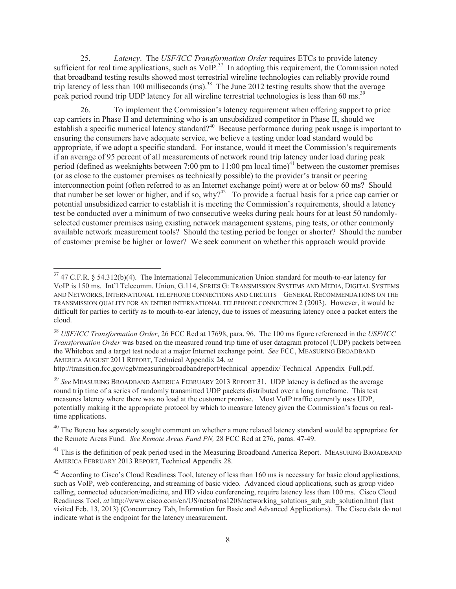25. *Latency*. The *USF/ICC Transformation Order* requires ETCs to provide latency sufficient for real time applications, such as VoIP.<sup>37</sup> In adopting this requirement, the Commission noted that broadband testing results showed most terrestrial wireline technologies can reliably provide round trip latency of less than 100 milliseconds  $(ms)$ <sup>38</sup>. The June 2012 testing results show that the average peak period round trip UDP latency for all wireline terrestrial technologies is less than 60 ms.<sup>39</sup>

26. To implement the Commission's latency requirement when offering support to price cap carriers in Phase II and determining who is an unsubsidized competitor in Phase II, should we establish a specific numerical latency standard?<sup>40</sup> Because performance during peak usage is important to ensuring the consumers have adequate service, we believe a testing under load standard would be appropriate, if we adopt a specific standard. For instance, would it meet the Commission's requirements if an average of 95 percent of all measurements of network round trip latency under load during peak period (defined as weeknights between 7:00 pm to  $11:00$  pm local time)<sup>41</sup> between the customer premises (or as close to the customer premises as technically possible) to the provider's transit or peering interconnection point (often referred to as an Internet exchange point) were at or below 60 ms? Should that number be set lower or higher, and if so, why?<sup>42</sup> To provide a factual basis for a price cap carrier or potential unsubsidized carrier to establish it is meeting the Commission's requirements, should a latency test be conducted over a minimum of two consecutive weeks during peak hours for at least 50 randomlyselected customer premises using existing network management systems, ping tests, or other commonly available network measurement tools? Should the testing period be longer or shorter? Should the number of customer premise be higher or lower? We seek comment on whether this approach would provide

http://transition.fcc.gov/cgb/measuringbroadbandreport/technical\_appendix/ Technical\_Appendix\_Full.pdf.

<sup>39</sup> *See* MEASURING BROADBAND AMERICA FEBRUARY 2013 REPORT 31. UDP latency is defined as the average round trip time of a series of randomly transmitted UDP packets distributed over a long timeframe. This test measures latency where there was no load at the customer premise. Most VoIP traffic currently uses UDP, potentially making it the appropriate protocol by which to measure latency given the Commission's focus on realtime applications.

 $40$  The Bureau has separately sought comment on whether a more relaxed latency standard would be appropriate for the Remote Areas Fund. *See Remote Areas Fund PN,* 28 FCC Rcd at 276, paras. 47-49.

<sup>41</sup> This is the definition of peak period used in the Measuring Broadband America Report. MEASURING BROADBAND AMERICA FEBRUARY 2013 REPORT, Technical Appendix 28.

 $^{42}$  According to Cisco's Cloud Readiness Tool, latency of less than 160 ms is necessary for basic cloud applications, such as VoIP, web conferencing, and streaming of basic video. Advanced cloud applications, such as group video calling, connected education/medicine, and HD video conferencing, require latency less than 100 ms. Cisco Cloud Readiness Tool, *at* http://www.cisco.com/en/US/netsol/ns1208/networking\_solutions\_sub\_solution.html (last visited Feb. 13, 2013) (Concurrency Tab, Information for Basic and Advanced Applications). The Cisco data do not indicate what is the endpoint for the latency measurement.

<sup>&</sup>lt;sup>37</sup> 47 C.F.R. § 54.312(b)(4). The International Telecommunication Union standard for mouth-to-ear latency for VoIP is 150 ms. Int'l Telecomm. Union, G.114, SERIES G: TRANSMISSION SYSTEMS AND MEDIA, DIGITAL SYSTEMS AND NETWORKS, INTERNATIONAL TELEPHONE CONNECTIONS AND CIRCUITS – GENERAL RECOMMENDATIONS ON THE TRANSMISSION QUALITY FOR AN ENTIRE INTERNATIONAL TELEPHONE CONNECTION 2 (2003). However, it would be difficult for parties to certify as to mouth-to-ear latency, due to issues of measuring latency once a packet enters the cloud.

<sup>38</sup> *USF/ICC Transformation Order*, 26 FCC Rcd at 17698, para. 96. The 100 ms figure referenced in the *USF/ICC Transformation Order* was based on the measured round trip time of user datagram protocol (UDP) packets between the Whitebox and a target test node at a major Internet exchange point. *See* FCC, MEASURING BROADBAND AMERICA AUGUST 2011 REPORT, Technical Appendix 24, *at*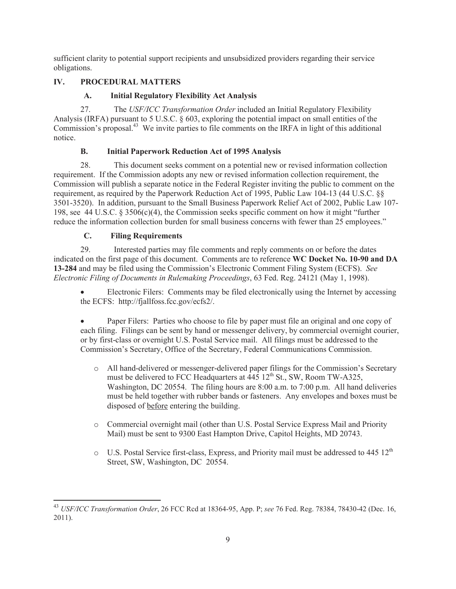sufficient clarity to potential support recipients and unsubsidized providers regarding their service obligations.

# **IV. PROCEDURAL MATTERS**

# **A. Initial Regulatory Flexibility Act Analysis**

27. The *USF/ICC Transformation Order* included an Initial Regulatory Flexibility Analysis (IRFA) pursuant to 5 U.S.C. § 603, exploring the potential impact on small entities of the Commission's proposal.<sup>43</sup> We invite parties to file comments on the IRFA in light of this additional notice.

# **B. Initial Paperwork Reduction Act of 1995 Analysis**

28. This document seeks comment on a potential new or revised information collection requirement. If the Commission adopts any new or revised information collection requirement, the Commission will publish a separate notice in the Federal Register inviting the public to comment on the requirement, as required by the Paperwork Reduction Act of 1995, Public Law 104-13 (44 U.S.C. §§ 3501-3520). In addition, pursuant to the Small Business Paperwork Relief Act of 2002, Public Law 107- 198, see 44 U.S.C. § 3506(c)(4), the Commission seeks specific comment on how it might "further reduce the information collection burden for small business concerns with fewer than 25 employees."

# **C. Filing Requirements**

29. Interested parties may file comments and reply comments on or before the dates indicated on the first page of this document. Comments are to reference **WC Docket No. 10-90 and DA 13-284** and may be filed using the Commission's Electronic Comment Filing System (ECFS). *See Electronic Filing of Documents in Rulemaking Proceedings*, 63 Fed. Reg. 24121 (May 1, 1998).

Electronic Filers: Comments may be filed electronically using the Internet by accessing the ECFS: http://fjallfoss.fcc.gov/ecfs2/.

· Paper Filers: Parties who choose to file by paper must file an original and one copy of each filing. Filings can be sent by hand or messenger delivery, by commercial overnight courier, or by first-class or overnight U.S. Postal Service mail. All filings must be addressed to the Commission's Secretary, Office of the Secretary, Federal Communications Commission.

- o All hand-delivered or messenger-delivered paper filings for the Commission's Secretary must be delivered to FCC Headquarters at  $\overline{445}$   $12^{\text{th}}$  St., SW, Room TW-A325, Washington, DC 20554. The filing hours are 8:00 a.m. to 7:00 p.m. All hand deliveries must be held together with rubber bands or fasteners. Any envelopes and boxes must be disposed of before entering the building.
- o Commercial overnight mail (other than U.S. Postal Service Express Mail and Priority Mail) must be sent to 9300 East Hampton Drive, Capitol Heights, MD 20743.
- $\circ$  U.S. Postal Service first-class, Express, and Priority mail must be addressed to 445 12<sup>th</sup> Street, SW, Washington, DC 20554.

<sup>43</sup> *USF/ICC Transformation Order*, 26 FCC Rcd at 18364-95, App. P; *see* 76 Fed. Reg. 78384, 78430-42 (Dec. 16, 2011).